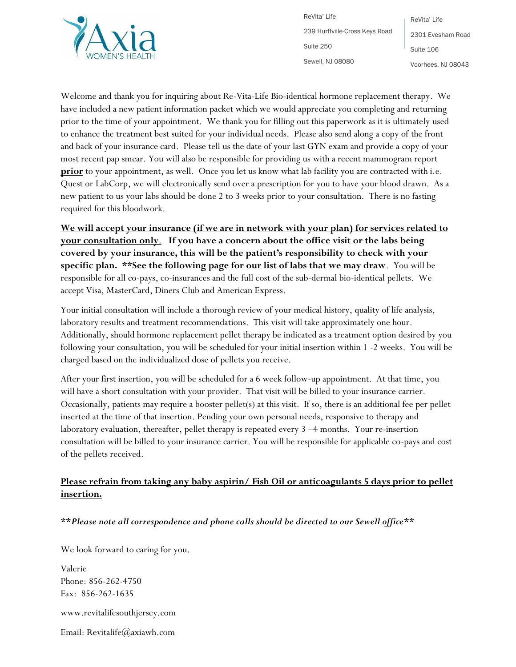

ReVita' Life 239 Hurffville-Cross Keys Road Suite 250 Sewell, NJ 08080

ReVita' Life 2301 Evesham Road Suite 106 Voorhees, NJ 08043

Welcome and thank you for inquiring about Re-Vita-Life Bio-identical hormone replacement therapy. We have included a new patient information packet which we would appreciate you completing and returning prior to the time of your appointment. We thank you for filling out this paperwork as it is ultimately used to enhance the treatment best suited for your individual needs. Please also send along a copy of the front and back of your insurance card. Please tell us the date of your last GYN exam and provide a copy of your most recent pap smear. You will also be responsible for providing us with a recent mammogram report **prior** to your appointment, as well. Once you let us know what lab facility you are contracted with i.e. Quest or LabCorp, we will electronically send over a prescription for you to have your blood drawn. As a new patient to us your labs should be done 2 to 3 weeks prior to your consultation. There is no fasting required for this bloodwork.

**We will accept your insurance (if we are in network with your plan) for services related to your consultation only**. **If you have a concern about the office visit or the labs being covered by your insurance, this will be the patient's responsibility to check with your specific plan. \*\*See the following page for our list of labs that we may draw**. You will be responsible for all co-pays, co-insurances and the full cost of the sub-dermal bio-identical pellets. We accept Visa, MasterCard, Diners Club and American Express.

Your initial consultation will include a thorough review of your medical history, quality of life analysis, laboratory results and treatment recommendations. This visit will take approximately one hour. Additionally, should hormone replacement pellet therapy be indicated as a treatment option desired by you following your consultation, you will be scheduled for your initial insertion within 1 -2 weeks. You will be charged based on the individualized dose of pellets you receive.

After your first insertion, you will be scheduled for a 6 week follow-up appointment. At that time, you will have a short consultation with your provider. That visit will be billed to your insurance carrier. Occasionally, patients may require a booster pellet(s) at this visit. If so, there is an additional fee per pellet inserted at the time of that insertion. Pending your own personal needs, responsive to therapy and laboratory evaluation, thereafter, pellet therapy is repeated every 3 –4 months. Your re-insertion consultation will be billed to your insurance carrier. You will be responsible for applicable co-pays and cost of the pellets received.

# **Please refrain from taking any baby aspirin/ Fish Oil or anticoagulants 5 days prior to pellet insertion.**

#### **\*\****Please note all correspondence and phone calls should be directed to our Sewell office\*\**

We look forward to caring for you.

Valerie Phone: 856-262-4750 Fax: 856-262-1635

www.revitalifesouthjersey.com

Email: Revitalife@axiawh.com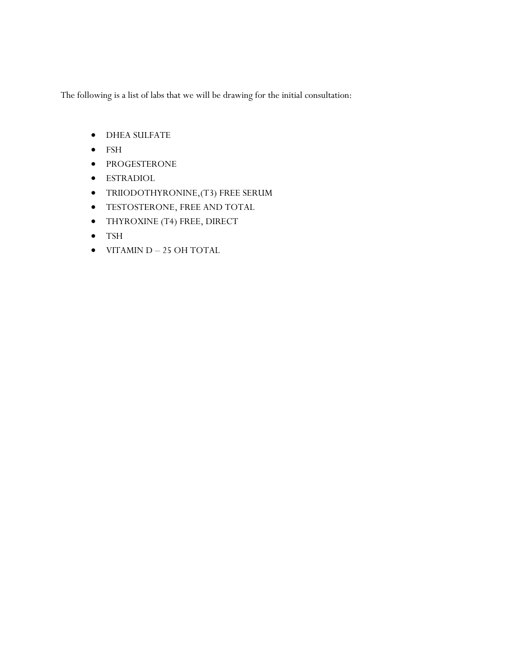The following is a list of labs that we will be drawing for the initial consultation:

- DHEA SULFATE
- FSH
- PROGESTERONE
- ESTRADIOL
- TRIIODOTHYRONINE,(T3) FREE SERUM
- TESTOSTERONE, FREE AND TOTAL
- THYROXINE (T4) FREE, DIRECT
- TSH
- VITAMIN D 25 OH TOTAL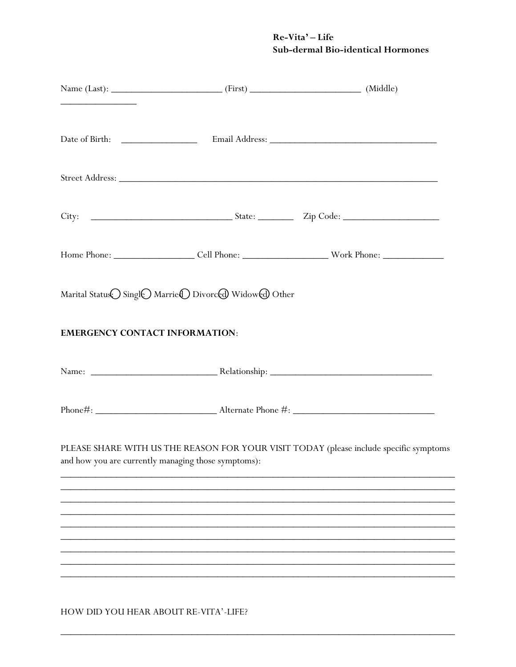# Re-Vita' - Life Sub-dermal Bio-identical Hormones

|                                       | Marital Status Singl Marrie D Divorced Widowed Other |                                                                                        |
|---------------------------------------|------------------------------------------------------|----------------------------------------------------------------------------------------|
| <b>EMERGENCY CONTACT INFORMATION:</b> |                                                      |                                                                                        |
|                                       |                                                      |                                                                                        |
|                                       |                                                      |                                                                                        |
|                                       | and how you are currently managing those symptoms):  | PLEASE SHARE WITH US THE REASON FOR YOUR VISIT TODAY (please include specific symptoms |
|                                       |                                                      |                                                                                        |
|                                       |                                                      |                                                                                        |
|                                       |                                                      |                                                                                        |
|                                       |                                                      |                                                                                        |
|                                       |                                                      |                                                                                        |
|                                       |                                                      |                                                                                        |
|                                       |                                                      |                                                                                        |
|                                       |                                                      |                                                                                        |

HOW DID YOU HEAR ABOUT RE-VITA'-LIFE?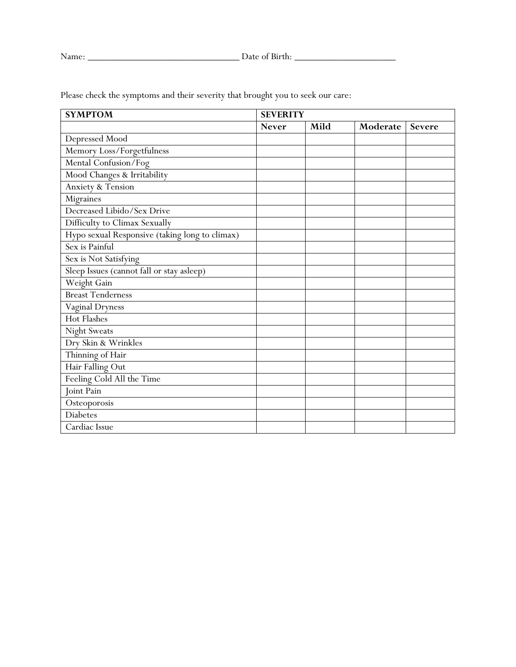| <b>SYMPTOM</b>                                 | <b>SEVERITY</b> |      |          |               |  |
|------------------------------------------------|-----------------|------|----------|---------------|--|
|                                                | <b>Never</b>    | Mild | Moderate | <b>Severe</b> |  |
| Depressed Mood                                 |                 |      |          |               |  |
| Memory Loss/Forgetfulness                      |                 |      |          |               |  |
| Mental Confusion/Fog                           |                 |      |          |               |  |
| Mood Changes & Irritability                    |                 |      |          |               |  |
| Anxiety & Tension                              |                 |      |          |               |  |
| Migraines                                      |                 |      |          |               |  |
| Decreased Libido/Sex Drive                     |                 |      |          |               |  |
| Difficulty to Climax Sexually                  |                 |      |          |               |  |
| Hypo sexual Responsive (taking long to climax) |                 |      |          |               |  |
| Sex is Painful                                 |                 |      |          |               |  |
| Sex is Not Satisfying                          |                 |      |          |               |  |
| Sleep Issues (cannot fall or stay asleep)      |                 |      |          |               |  |
| Weight Gain                                    |                 |      |          |               |  |
| <b>Breast Tenderness</b>                       |                 |      |          |               |  |
| <b>Vaginal Dryness</b>                         |                 |      |          |               |  |
| <b>Hot Flashes</b>                             |                 |      |          |               |  |
| <b>Night Sweats</b>                            |                 |      |          |               |  |
| Dry Skin & Wrinkles                            |                 |      |          |               |  |
| Thinning of Hair                               |                 |      |          |               |  |
| Hair Falling Out                               |                 |      |          |               |  |
| Feeling Cold All the Time                      |                 |      |          |               |  |
| Joint Pain                                     |                 |      |          |               |  |
| Osteoporosis                                   |                 |      |          |               |  |
| <b>Diabetes</b>                                |                 |      |          |               |  |
| Cardiac Issue                                  |                 |      |          |               |  |

Please check the symptoms and their severity that brought you to seek our care: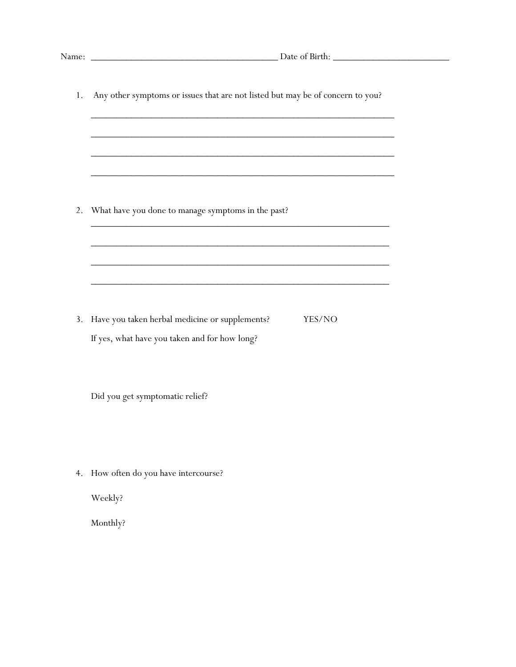| 1. | Any other symptoms or issues that are not listed but may be of concern to you? |  |  |  |
|----|--------------------------------------------------------------------------------|--|--|--|
|    |                                                                                |  |  |  |
|    |                                                                                |  |  |  |
|    |                                                                                |  |  |  |
| 2. | What have you done to manage symptoms in the past?                             |  |  |  |
|    |                                                                                |  |  |  |
|    |                                                                                |  |  |  |
| 3. | Have you taken herbal medicine or supplements?<br>YES/NO                       |  |  |  |
|    | If yes, what have you taken and for how long?                                  |  |  |  |
|    |                                                                                |  |  |  |
|    | Did you get symptomatic relief?                                                |  |  |  |
|    |                                                                                |  |  |  |
|    | 4. How often do you have intercourse?                                          |  |  |  |
|    | Weekly?                                                                        |  |  |  |
|    | Monthly?                                                                       |  |  |  |
|    |                                                                                |  |  |  |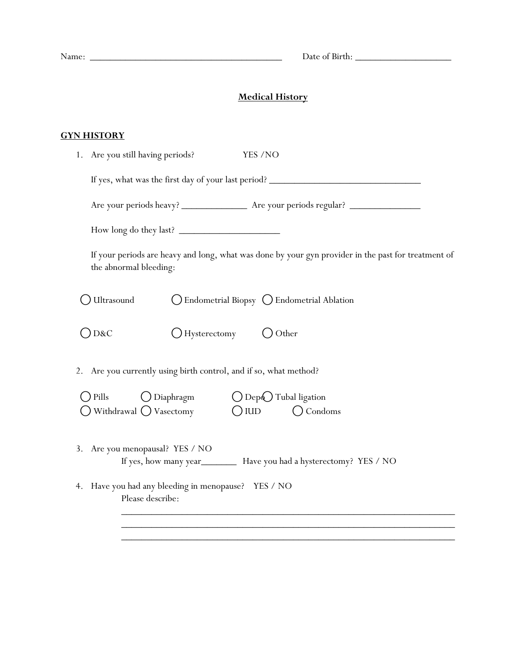Name: \_\_\_\_\_\_\_\_\_\_\_\_\_\_\_\_\_\_\_\_\_\_\_\_\_\_\_\_\_\_\_\_\_\_\_\_\_\_ Date of Birth: \_\_\_\_\_\_\_\_\_\_\_\_\_\_\_\_\_\_\_

# **Medical History**

### **GYN HISTORY**

|                | 1. Are you still having periods?<br>YES /NO                                                                                   |
|----------------|-------------------------------------------------------------------------------------------------------------------------------|
|                |                                                                                                                               |
|                |                                                                                                                               |
|                | How long do they last?                                                                                                        |
|                | If your periods are heavy and long, what was done by your gyn provider in the past for treatment of<br>the abnormal bleeding: |
|                | J Ultrasound<br>◯ Endometrial Biopsy ◯ Endometrial Ablation                                                                   |
| $\bigcirc$ D&C | $\bigcup$ Hysterectomy $\bigcirc$ Other                                                                                       |
|                | 2. Are you currently using birth control, and if so, what method?                                                             |
| $\big)$ Pills  | $\bigcirc$ Diaphragm $\bigcirc$ Dep $\bigcirc$ Tubal ligation                                                                 |
|                | $\bigcirc$ Withdrawal $\bigcirc$ Vasectomy $\bigcirc$ IUD<br>$\bigcirc$ Condoms                                               |
| 3.             | Are you menopausal? YES / NO<br>If yes, how many year___________ Have you had a hysterectomy? YES / NO                        |
|                | 4. Have you had any bleeding in menopause? YES / NO<br>Please describe:                                                       |
|                |                                                                                                                               |

 $\overline{\phantom{a}}$  , and the set of the set of the set of the set of the set of the set of the set of the set of the set of the set of the set of the set of the set of the set of the set of the set of the set of the set of the s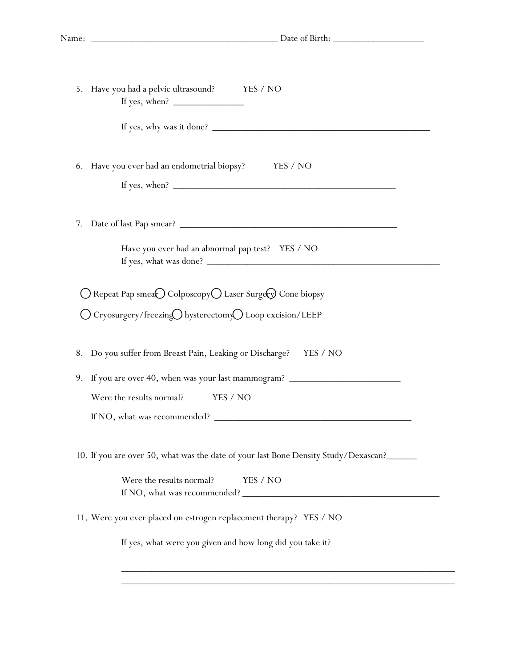| 5. Have you had a pelvic ultrasound? YES / NO                                       |
|-------------------------------------------------------------------------------------|
| If yes, why was it done?                                                            |
| 6. Have you ever had an endometrial biopsy? YES / NO                                |
|                                                                                     |
| Have you ever had an abnormal pap test? YES / NO                                    |
| ○ Repeat Pap smea● Colposcopy○ Laser Surgev Cone biopsy                             |
| ○ Cryosurgery/freezing○ hysterectomy○ Loop excision/LEEP                            |
| 8. Do you suffer from Breast Pain, Leaking or Discharge? YES / NO                   |
| 9. If you are over 40, when was your last mammogram? ___________________________    |
| Were the results normal?<br>YES / NO                                                |
|                                                                                     |
| 10. If you are over 50, what was the date of your last Bone Density Study/Dexascan? |
| Were the results normal?<br>YES / NO                                                |
| 11. Were you ever placed on estrogen replacement therapy? YES / NO                  |
| If yes, what were you given and how long did you take it?                           |
|                                                                                     |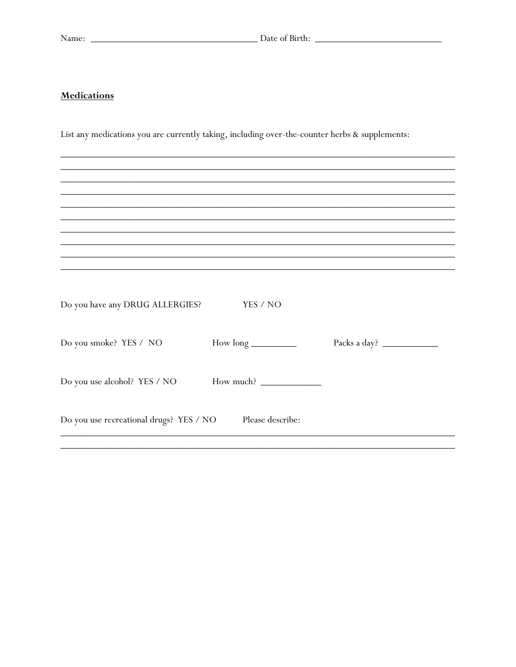### **Medications**

List any medications you are currently taking, including over-the-counter herbs & supplements:

| Do you have any DRUG ALLERGIES?         | YES / NO           |              |
|-----------------------------------------|--------------------|--------------|
| Do you smoke? YES / NO                  | $How long _______$ | Packs a day? |
| Do you use alcohol? YES / NO            |                    |              |
| Do you use recreational drugs? YES / NO | Please describe:   |              |
|                                         |                    |              |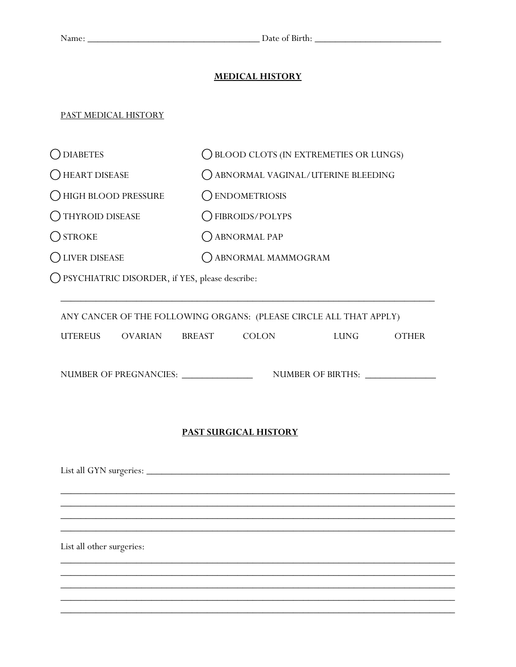### **MEDICAL HISTORY**

### PAST MEDICAL HISTORY

| <b>DIABETES</b>         | () BLOOD CLOTS (IN EXTREMETIES OR LUNGS) |
|-------------------------|------------------------------------------|
| HEART DISEASE           | () ABNORMAL VAGINAL/UTERINE BLEEDING     |
| HIGH BLOOD PRESSURE     | C ENDOMETRIOSIS                          |
| <b>OTHYROID DISEASE</b> | ◯ FIBROIDS/POLYPS                        |
| $O$ STROKE              | C ABNORMAL PAP                           |
| <b>LIVER DISEASE</b>    | ABNORMAL MAMMOGRAM                       |

⃝PSYCHIATRIC DISORDER, if YES, please describe:

|                           | UTEREUS OVARIAN BREAST COLON           |                              |                                   | LUNG OTHER |
|---------------------------|----------------------------------------|------------------------------|-----------------------------------|------------|
|                           | NUMBER OF PREGNANCIES: _______________ |                              | NUMBER OF BIRTHS: _______________ |            |
|                           |                                        | <b>PAST SURGICAL HISTORY</b> |                                   |            |
|                           |                                        |                              |                                   |            |
|                           |                                        |                              |                                   |            |
|                           |                                        |                              |                                   |            |
| List all other surgeries: |                                        |                              |                                   |            |
|                           |                                        |                              |                                   |            |

\_\_\_\_\_\_\_\_\_\_\_\_\_\_\_\_\_\_\_\_\_\_\_\_\_\_\_\_\_\_\_\_\_\_\_\_\_\_\_\_\_\_\_\_\_\_\_\_\_\_\_\_\_\_\_\_\_\_\_\_\_\_\_\_\_\_\_\_\_\_\_\_\_\_\_\_\_\_